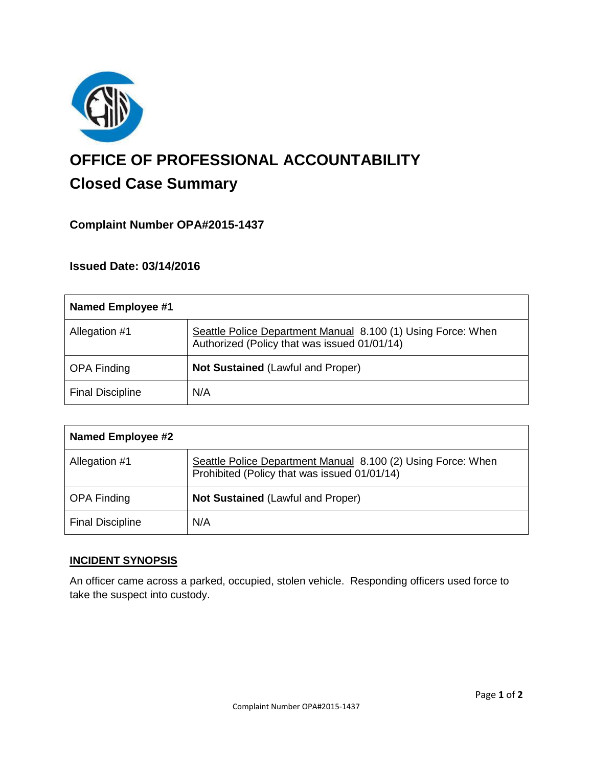

# **OFFICE OF PROFESSIONAL ACCOUNTABILITY Closed Case Summary**

## **Complaint Number OPA#2015-1437**

## **Issued Date: 03/14/2016**

| <b>Named Employee #1</b> |                                                                                                              |
|--------------------------|--------------------------------------------------------------------------------------------------------------|
| Allegation #1            | Seattle Police Department Manual 8.100 (1) Using Force: When<br>Authorized (Policy that was issued 01/01/14) |
| <b>OPA Finding</b>       | Not Sustained (Lawful and Proper)                                                                            |
| <b>Final Discipline</b>  | N/A                                                                                                          |

| Named Employee #2       |                                                                                                              |
|-------------------------|--------------------------------------------------------------------------------------------------------------|
| Allegation #1           | Seattle Police Department Manual 8.100 (2) Using Force: When<br>Prohibited (Policy that was issued 01/01/14) |
| <b>OPA Finding</b>      | Not Sustained (Lawful and Proper)                                                                            |
| <b>Final Discipline</b> | N/A                                                                                                          |

## **INCIDENT SYNOPSIS**

An officer came across a parked, occupied, stolen vehicle. Responding officers used force to take the suspect into custody.